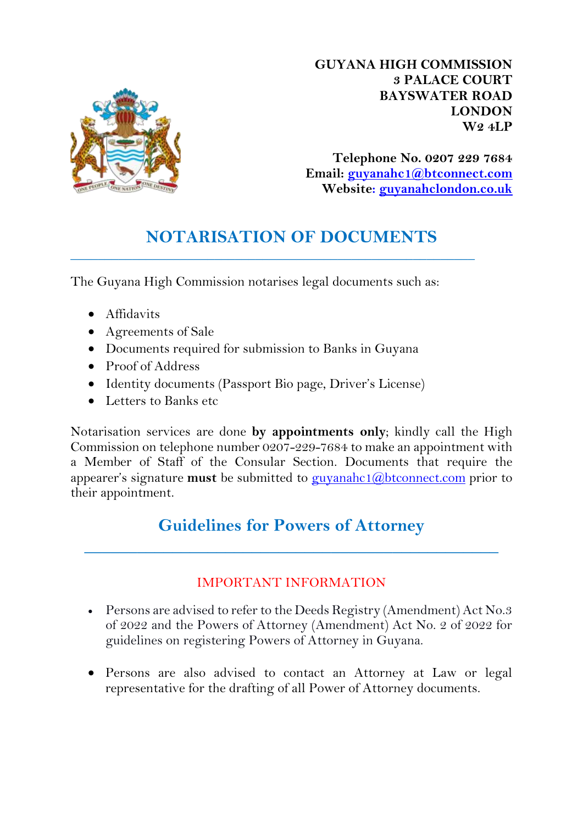

**GUYANA HIGH COMMISSION 3 PALACE COURT BAYSWATER ROAD LONDON W2 4LP**

**Telephone No. 0207 229 7684 Email: [guyanahc1@btconnect.com](mailto:guyanahc1@btconnect.com) Website: guyanahclondon.co.uk**

## **NOTARISATION OF DOCUMENTS**

\_\_\_\_\_\_\_\_\_\_\_\_\_\_\_\_\_\_\_\_\_\_\_\_\_\_\_\_\_\_\_\_\_\_\_\_\_\_\_\_\_\_\_\_\_\_\_\_\_\_\_\_\_\_\_\_\_\_\_

The Guyana High Commission notarises legal documents such as:

- Affidavits
- Agreements of Sale
- Documents required for submission to Banks in Guyana
- Proof of Address
- Identity documents (Passport Bio page, Driver's License)
- Letters to Banks etc

Notarisation services are done **by appointments only**; kindly call the High Commission on telephone number 0207-229-7684 to make an appointment with a Member of Staff of the Consular Section. Documents that require the appearer's signature **must** be submitted to [guyanahc1@btconnect.com](mailto:guyanahc1@btconnect.com) prior to their appointment.

# **Guidelines for Powers of Attorney**

**\_\_\_\_\_\_\_\_\_\_\_\_\_\_\_\_\_\_\_\_\_\_\_\_\_\_\_\_\_\_\_\_\_\_\_\_\_\_\_\_\_\_\_\_\_\_\_**

### IMPORTANT INFORMATION

- Persons are advised to refer to the Deeds Registry (Amendment) Act No.3 of 2022 and the Powers of Attorney (Amendment) Act No. 2 of 2022 for guidelines on registering Powers of Attorney in Guyana.
- Persons are also advised to contact an Attorney at Law or legal representative for the drafting of all Power of Attorney documents.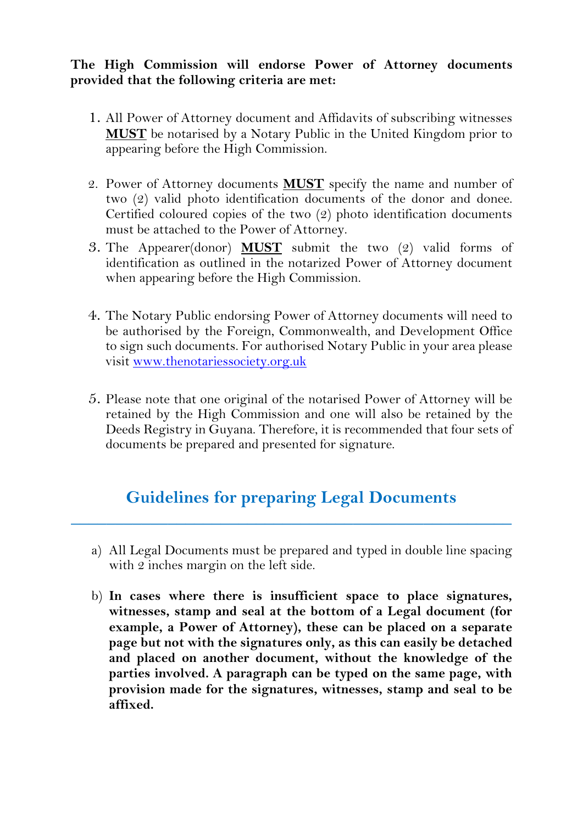#### **The High Commission will endorse Power of Attorney documents provided that the following criteria are met:**

- 1. All Power of Attorney document and Affidavits of subscribing witnesses **MUST** be notarised by a Notary Public in the United Kingdom prior to appearing before the High Commission.
- 2. Power of Attorney documents **MUST** specify the name and number of two (2) valid photo identification documents of the donor and donee. Certified coloured copies of the two (2) photo identification documents must be attached to the Power of Attorney.
- 3. The Appearer(donor) **MUST** submit the two (2) valid forms of identification as outlined in the notarized Power of Attorney document when appearing before the High Commission.
- 4. The Notary Public endorsing Power of Attorney documents will need to be authorised by the Foreign, Commonwealth, and Development Office to sign such documents. For authorised Notary Public in your area please visit [www.thenotariessociety.org.uk](http://www.thenotariessociety.org.uk/)
- 5. Please note that one original of the notarised Power of Attorney will be retained by the High Commission and one will also be retained by the Deeds Registry in Guyana. Therefore, it is recommended that four sets of documents be prepared and presented for signature.

### **Guidelines for preparing Legal Documents**

**\_\_\_\_\_\_\_\_\_\_\_\_\_\_\_\_\_\_\_\_\_\_\_\_\_\_\_\_\_\_\_\_\_\_\_\_\_\_\_\_\_\_\_\_\_\_\_\_\_\_**

- a) All Legal Documents must be prepared and typed in double line spacing with 2 inches margin on the left side.
- b) **In cases where there is insufficient space to place signatures, witnesses, stamp and seal at the bottom of a Legal document (for example, a Power of Attorney), these can be placed on a separate page but not with the signatures only, as this can easily be detached and placed on another document, without the knowledge of the parties involved. A paragraph can be typed on the same page, with provision made for the signatures, witnesses, stamp and seal to be affixed.**